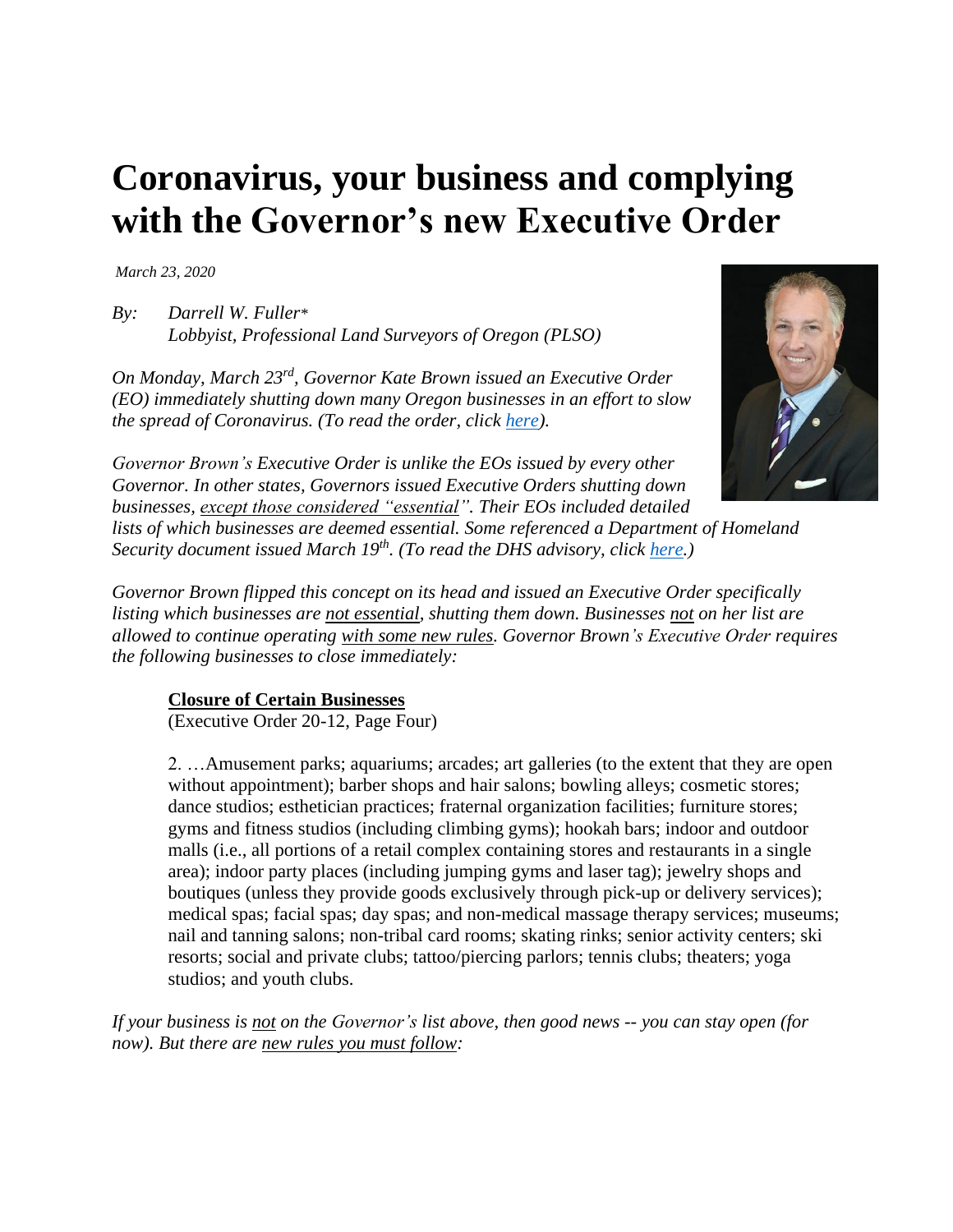## **Coronavirus, your business and complying with the Governor's new Executive Order**

*March 23, 2020*

*By: Darrell W. Fuller\* Lobbyist, Professional Land Surveyors of Oregon (PLSO)*

*On Monday, March 23rd, Governor Kate Brown issued an Executive Order (EO) immediately shutting down many Oregon businesses in an effort to slow the spread of Coronavirus. (To read the order, click [here\)](https://www.oregon.gov/gov/Documents/executive_orders/eo_20-12.pdf).* 



*Governor Brown's Executive Order is unlike the EOs issued by every other Governor. In other states, Governors issued Executive Orders shutting down businesses, except those considered "essential". Their EOs included detailed lists of which businesses are deemed essential. Some referenced a Department of Homeland Security document issued March 19th . (To read the DHS advisory, click [here.](https://www.cisa.gov/sites/default/files/publications/CISA-Guidance-on-Essential-Critical-Infrastructure-Workers-1-20-508c.pdf))*

*Governor Brown flipped this concept on its head and issued an Executive Order specifically listing which businesses are not essential, shutting them down. Businesses not on her list are allowed to continue operating with some new rules. Governor Brown's Executive Order requires the following businesses to close immediately:*

## **Closure of Certain Businesses**

(Executive Order 20-12, Page Four)

2. …Amusement parks; aquariums; arcades; art galleries (to the extent that they are open without appointment); barber shops and hair salons; bowling alleys; cosmetic stores; dance studios; esthetician practices; fraternal organization facilities; furniture stores; gyms and fitness studios (including climbing gyms); hookah bars; indoor and outdoor malls (i.e., all portions of a retail complex containing stores and restaurants in a single area); indoor party places (including jumping gyms and laser tag); jewelry shops and boutiques (unless they provide goods exclusively through pick-up or delivery services); medical spas; facial spas; day spas; and non-medical massage therapy services; museums; nail and tanning salons; non-tribal card rooms; skating rinks; senior activity centers; ski resorts; social and private clubs; tattoo/piercing parlors; tennis clubs; theaters; yoga studios; and youth clubs.

*If your business is not on the Governor's list above, then good news -- you can stay open (for now). But there are new rules you must follow:*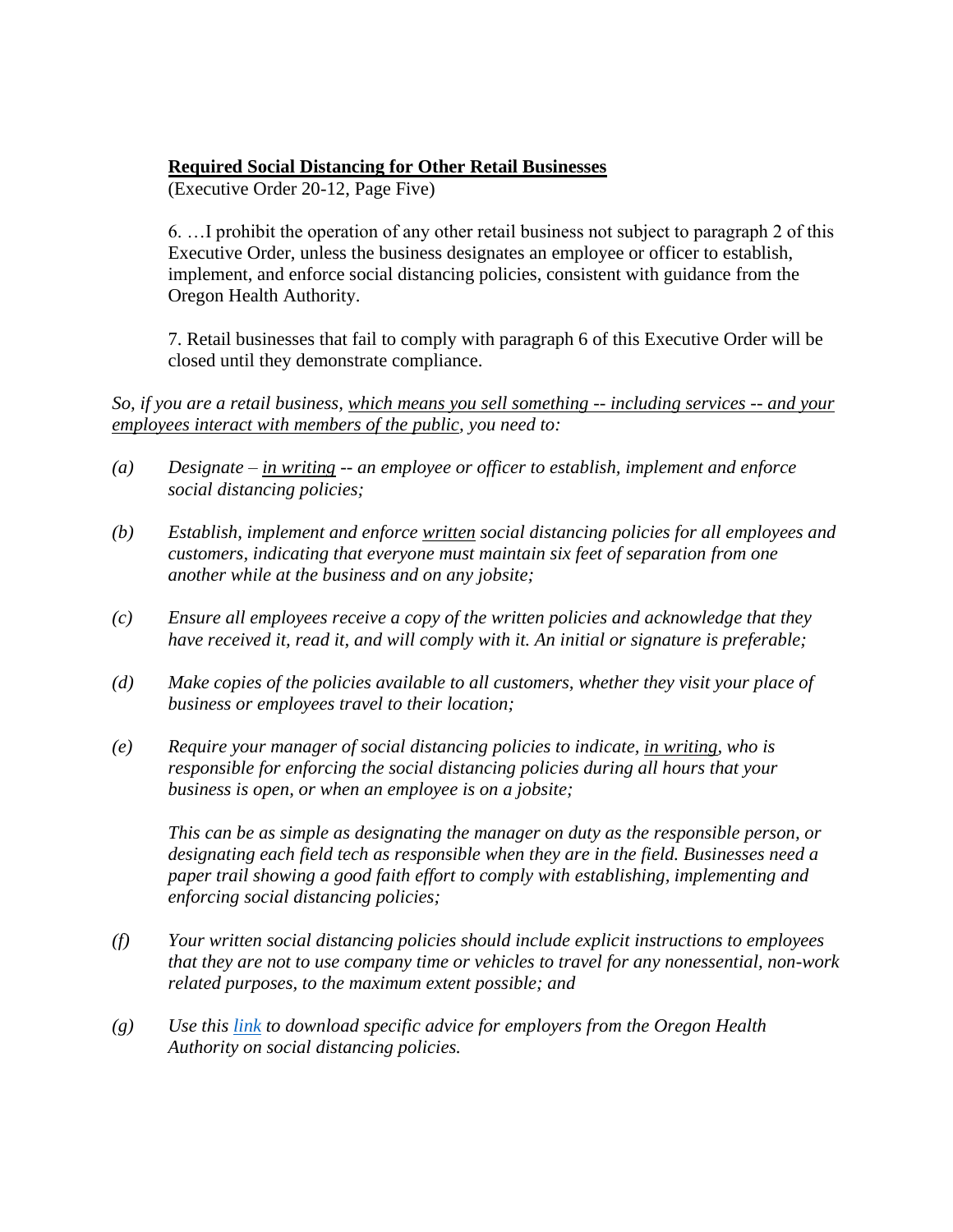## **Required Social Distancing for Other Retail Businesses**

(Executive Order 20-12, Page Five)

6. …I prohibit the operation of any other retail business not subject to paragraph 2 of this Executive Order, unless the business designates an employee or officer to establish, implement, and enforce social distancing policies, consistent with guidance from the Oregon Health Authority.

7. Retail businesses that fail to comply with paragraph 6 of this Executive Order will be closed until they demonstrate compliance.

*So, if you are a retail business, which means you sell something -- including services -- and your employees interact with members of the public, you need to:*

- *(a) Designate – in writing -- an employee or officer to establish, implement and enforce social distancing policies;*
- *(b) Establish, implement and enforce written social distancing policies for all employees and customers, indicating that everyone must maintain six feet of separation from one another while at the business and on any jobsite;*
- *(c) Ensure all employees receive a copy of the written policies and acknowledge that they have received it, read it, and will comply with it. An initial or signature is preferable;*
- *(d) Make copies of the policies available to all customers, whether they visit your place of business or employees travel to their location;*
- *(e) Require your manager of social distancing policies to indicate, in writing, who is responsible for enforcing the social distancing policies during all hours that your business is open, or when an employee is on a jobsite;*

*This can be as simple as designating the manager on duty as the responsible person, or designating each field tech as responsible when they are in the field. Businesses need a paper trail showing a good faith effort to comply with establishing, implementing and enforcing social distancing policies;* 

- *(f) Your written social distancing policies should include explicit instructions to employees that they are not to use company time or vehicles to travel for any nonessential, non-work related purposes, to the maximum extent possible; and*
- *(g) Use this [link](https://sharedsystems.dhsoha.state.or.us/DHSForms/Served/le2266.pdf) to download specific advice for employers from the Oregon Health Authority on social distancing policies.*